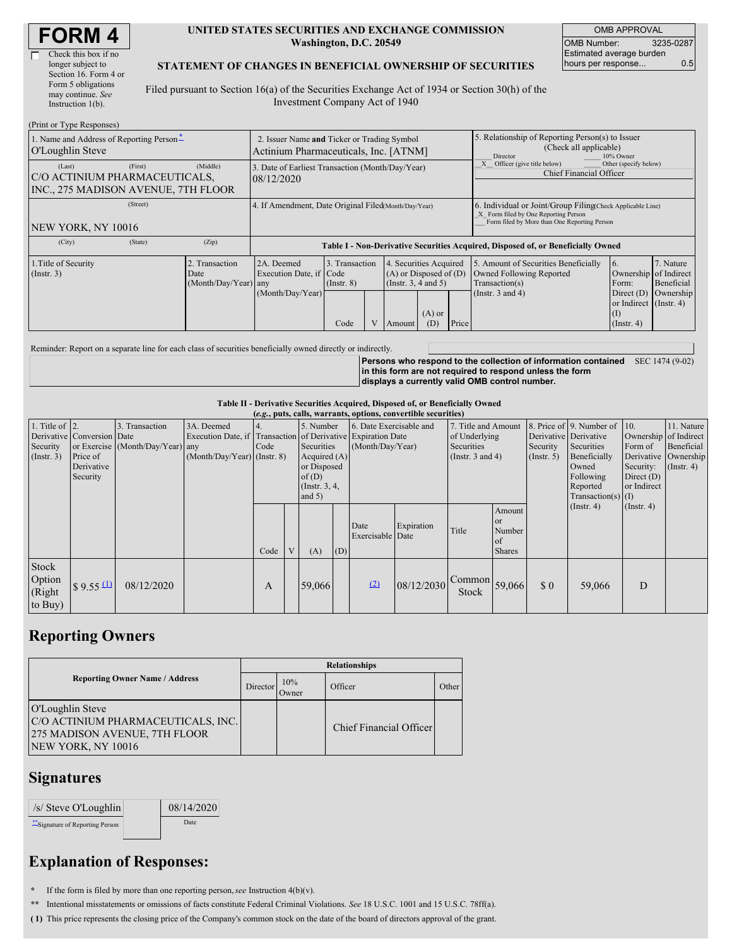| <b>FORM4</b> |
|--------------|
|--------------|

г

| Check this box if no  |
|-----------------------|
| longer subject to     |
| Section 16. Form 4 or |
| Form 5 obligations    |
| may continue. See     |
| Instruction 1(b).     |
|                       |

#### **UNITED STATES SECURITIES AND EXCHANGE COMMISSION Washington, D.C. 20549**

OMB APPROVAL OMB Number: 3235-0287 Estimated average burden hours per response... 0.5

### **STATEMENT OF CHANGES IN BENEFICIAL OWNERSHIP OF SECURITIES**

Filed pursuant to Section 16(a) of the Securities Exchange Act of 1934 or Section 30(h) of the Investment Company Act of 1940

| (Print or Type Responses)                                                                 |                                                                                      |                                                                                  |                                           |                                                                                                                        |  |  |                                                                                                             |                                                                                                                                                    |                                      |  |  |
|-------------------------------------------------------------------------------------------|--------------------------------------------------------------------------------------|----------------------------------------------------------------------------------|-------------------------------------------|------------------------------------------------------------------------------------------------------------------------|--|--|-------------------------------------------------------------------------------------------------------------|----------------------------------------------------------------------------------------------------------------------------------------------------|--------------------------------------|--|--|
| 1. Name and Address of Reporting Person-<br>O'Loughlin Steve                              | 2. Issuer Name and Ticker or Trading Symbol<br>Actinium Pharmaceuticals, Inc. [ATNM] |                                                                                  |                                           |                                                                                                                        |  |  | 5. Relationship of Reporting Person(s) to Issuer<br>(Check all applicable)<br>10% Owner<br>Director         |                                                                                                                                                    |                                      |  |  |
| (First)<br>(Last)<br>C/O ACTINIUM PHARMACEUTICALS,<br>INC., 275 MADISON AVENUE, 7TH FLOOR | (Middle)                                                                             | 3. Date of Earliest Transaction (Month/Day/Year)<br>08/12/2020                   |                                           |                                                                                                                        |  |  |                                                                                                             | Officer (give title below)<br>Chief Financial Officer                                                                                              | Other (specify below)                |  |  |
| (Street)<br>NEW YORK, NY 10016                                                            |                                                                                      | 4. If Amendment, Date Original Filed(Month/Day/Year)                             |                                           |                                                                                                                        |  |  |                                                                                                             | 6. Individual or Joint/Group Filing Check Applicable Line)<br>X Form filed by One Reporting Person<br>Form filed by More than One Reporting Person |                                      |  |  |
| (State)<br>(City)                                                                         | (Zip)                                                                                | Table I - Non-Derivative Securities Acquired, Disposed of, or Beneficially Owned |                                           |                                                                                                                        |  |  |                                                                                                             |                                                                                                                                                    |                                      |  |  |
| 1. Title of Security<br>(Insert. 3)                                                       | Transaction<br>Date<br>(Month/Day/Year) any                                          | 2A. Deemed<br>Execution Date, if Code<br>(Month/Day/Year)                        | 3. Transaction<br>$($ Instr. $8)$<br>Code | 4. Securities Acquired<br>$(A)$ or Disposed of $(D)$<br>(Instr. $3, 4$ and $5$ )<br>$(A)$ or<br>Price<br>(D)<br>Amount |  |  | 5. Amount of Securities Beneficially<br>Owned Following Reported<br>Transaction(s)<br>(Instr. $3$ and $4$ ) | 16.<br>Ownership of Indirect<br>Form:<br>Direct $(D)$<br>or Indirect (Instr. 4)<br>(I)<br>$($ Instr. 4 $)$                                         | 7. Nature<br>Beneficial<br>Ownership |  |  |

Reminder: Report on a separate line for each class of securities beneficially owned directly or indirectly.

**Persons who respond to the collection of information contained** SEC 1474 (9-02) **in this form are not required to respond unless the form displays a currently valid OMB control number.**

#### **Table II - Derivative Securities Acquired, Disposed of, or Beneficially Owned**

| (e.g., puts, calls, warrants, options, convertible securities) |                                                                  |                                                    |                                                                                                             |      |   |                                                                                                     |     |                                             |            |                                                                        |                                                                 |                         |                                                                                                                                                                        |                                                                                             |                                                                      |
|----------------------------------------------------------------|------------------------------------------------------------------|----------------------------------------------------|-------------------------------------------------------------------------------------------------------------|------|---|-----------------------------------------------------------------------------------------------------|-----|---------------------------------------------|------------|------------------------------------------------------------------------|-----------------------------------------------------------------|-------------------------|------------------------------------------------------------------------------------------------------------------------------------------------------------------------|---------------------------------------------------------------------------------------------|----------------------------------------------------------------------|
| 1. Title of $ 2$ .<br>Security<br>(Insert. 3)                  | Derivative Conversion Date<br>Price of<br>Derivative<br>Security | 3. Transaction<br>or Exercise (Month/Day/Year) any | 3A. Deemed<br>Execution Date, if Transaction of Derivative Expiration Date<br>$(Month/Day/Year)$ (Instr. 8) | Code |   | 5. Number<br>Securities<br>Acquired $(A)$<br>or Disposed<br>of $(D)$<br>(Instr. $3, 4,$<br>and $5)$ |     | 6. Date Exercisable and<br>(Month/Day/Year) |            | 7. Title and Amount<br>of Underlying<br>Securities<br>(Instr. 3 and 4) |                                                                 | Security<br>(Insert. 5) | 8. Price of 9. Number of $\vert$ 10.<br>Derivative Derivative<br>Securities<br>Beneficially<br>Owned<br>Following<br>Reported<br>$Transaction(s)$ (I)<br>$($ Instr. 4) | Ownership of Indirect<br>Form of<br>Security:<br>Direct $(D)$<br>or Indirect<br>(Insert. 4) | 11. Nature<br>Beneficial<br>Derivative Ownership<br>$($ Instr. 4 $)$ |
|                                                                |                                                                  |                                                    |                                                                                                             | Code | V | (A)                                                                                                 | (D) | Date<br>Exercisable Date                    | Expiration | Title                                                                  | Amount<br><b>or</b><br>Number<br><sub>of</sub><br><b>Shares</b> |                         |                                                                                                                                                                        |                                                                                             |                                                                      |
| Stock<br>Option<br>(Right<br>to Buy)                           | $\frac{1}{2}$ 9.55 $\frac{(1)}{2}$                               | 08/12/2020                                         |                                                                                                             | A    |   | 59,066                                                                                              |     | (2)                                         | 08/12/2030 | $\sim$ Common 59,066<br>Stock                                          |                                                                 | \$0                     | 59,066                                                                                                                                                                 | D                                                                                           |                                                                      |

## **Reporting Owners**

|                                                                                                               | <b>Relationships</b> |              |                         |       |  |  |  |  |
|---------------------------------------------------------------------------------------------------------------|----------------------|--------------|-------------------------|-------|--|--|--|--|
| <b>Reporting Owner Name / Address</b>                                                                         | Director             | 10%<br>Owner | Officer                 | Other |  |  |  |  |
| O'Loughlin Steve<br>C/O ACTINIUM PHARMACEUTICALS, INC.<br>275 MADISON AVENUE, 7TH FLOOR<br>NEW YORK, NY 10016 |                      |              | Chief Financial Officer |       |  |  |  |  |

### **Signatures**

| /s/ Steve O'Loughlin             | 08/14/2020 |
|----------------------------------|------------|
| ** Signature of Reporting Person | Date       |

# **Explanation of Responses:**

**\*** If the form is filed by more than one reporting person,*see* Instruction 4(b)(v).

**\*\*** Intentional misstatements or omissions of facts constitute Federal Criminal Violations. *See* 18 U.S.C. 1001 and 15 U.S.C. 78ff(a).

**( 1)** This price represents the closing price of the Company's common stock on the date of the board of directors approval of the grant.